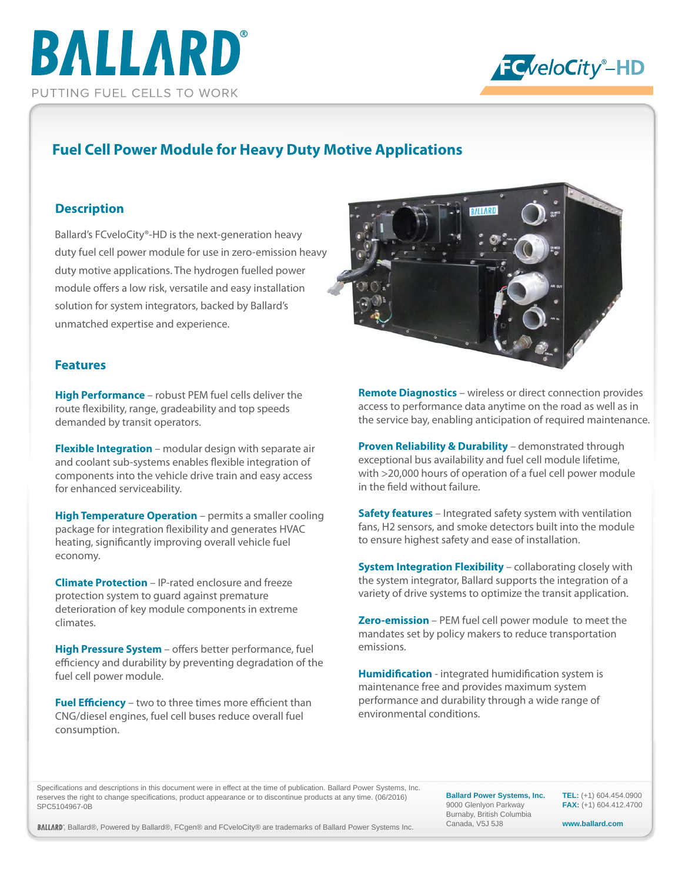# BALLARD PUTTING FUEL CELLS TO WORK



## **Fuel Cell Power Module for Heavy Duty Motive Applications**

## **Description**

Ballard's FCveloCity®-HD is the next-generation heavy duty fuel cell power module for use in zero-emission heavy duty motive applications. The hydrogen fuelled power module offers a low risk, versatile and easy installation solution for system integrators, backed by Ballard's unmatched expertise and experience.

### **Features**

**High Performance** – robust PEM fuel cells deliver the route flexibility, range, gradeability and top speeds demanded by transit operators.

**Flexible Integration** – modular design with separate air and coolant sub-systems enables flexible integration of components into the vehicle drive train and easy access for enhanced serviceability.

**High Temperature Operation** – permits a smaller cooling package for integration flexibility and generates HVAC heating, significantly improving overall vehicle fuel economy.

**Climate Protection** – IP-rated enclosure and freeze protection system to guard against premature deterioration of key module components in extreme climates.

**High Pressure System** – offers better performance, fuel efficiency and durability by preventing degradation of the fuel cell power module.

**Fuel Efficiency** – two to three times more efficient than CNG/diesel engines, fuel cell buses reduce overall fuel consumption.

**Remote Diagnostics** – wireless or direct connection provides access to performance data anytime on the road as well as in the service bay, enabling anticipation of required maintenance.

**Proven Reliability & Durability** – demonstrated through exceptional bus availability and fuel cell module lifetime, with >20,000 hours of operation of a fuel cell power module in the field without failure.

**Safety features** – Integrated safety system with ventilation fans, H2 sensors, and smoke detectors built into the module to ensure highest safety and ease of installation.

**System Integration Flexibility** – collaborating closely with the system integrator, Ballard supports the integration of a variety of drive systems to optimize the transit application.

**Zero-emission** – PEM fuel cell power module to meet the mandates set by policy makers to reduce transportation emissions.

**Humidification** - integrated humidification system is maintenance free and provides maximum system performance and durability through a wide range of environmental conditions.

Specifications and descriptions in this document were in effect at the time of publication. Ballard Power Systems, Inc. reserves the right to change specifications, product appearance or to discontinue products at any time. (06/2016) SPC5104967-0B

**Ballard Power Systems, Inc.** 9000 Glenlyon Parkway Burnaby, British Columbia Canada, V5J 5J8

**TEL:** (+1) 604.454.0900 **FAX:** (+1) 604.412.4700

, Ballard®, Powered by Ballard®, FCgen® and FCveloCity® are trademarks of Ballard Power Systems Inc.

**www.ballard.com**